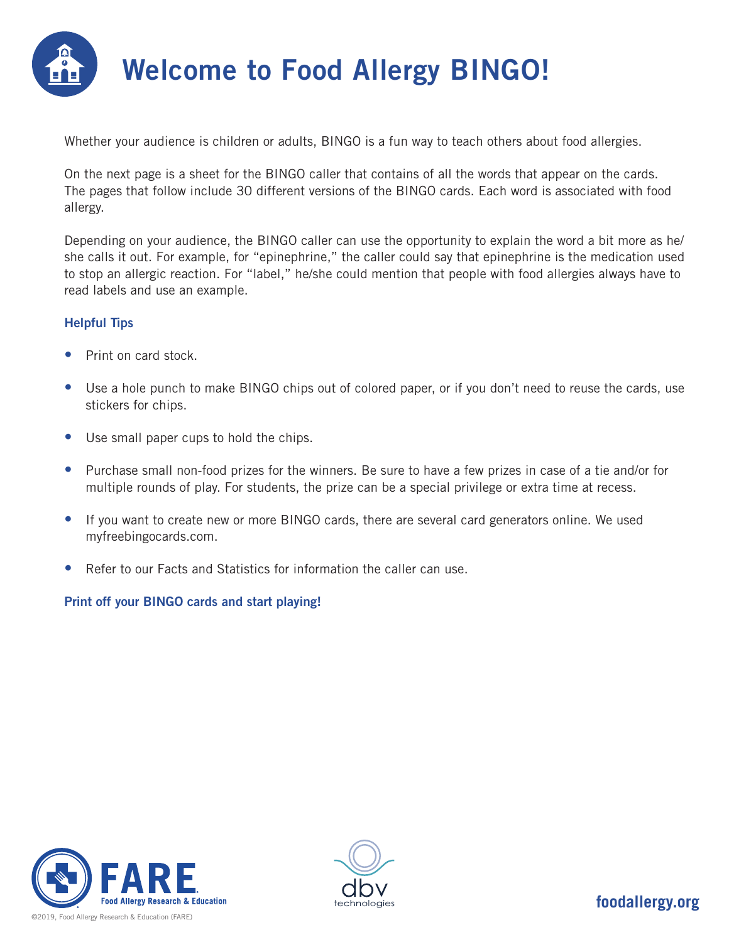

Whether your audience is children or adults, BINGO is a fun way to teach others about food allergies.

On the next page is a sheet for the BINGO caller that contains of all the words that appear on the cards. The pages that follow include 30 different versions of the BINGO cards. Each word is associated with food allergy.

Depending on your audience, the BINGO caller can use the opportunity to explain the word a bit more as he/ she calls it out. For example, for "epinephrine," the caller could say that epinephrine is the medication used to stop an allergic reaction. For "label," he/she could mention that people with food allergies always have to read labels and use an example.

#### Helpful Tips

- Print on card stock.
- Use a hole punch to make BINGO chips out of colored paper, or if you don't need to reuse the cards, use stickers for chips.
- Use small paper cups to hold the chips.
- Purchase small non-food prizes for the winners. Be sure to have a few prizes in case of a tie and/or for multiple rounds of play. For students, the prize can be a special privilege or extra time at recess.
- If you want to create new or more BINGO cards, there are several card generators online. We used myfreebingocards.com.
- Refer to our Facts and Statistics for information the caller can use.

#### Print off your BINGO cards and start playing!



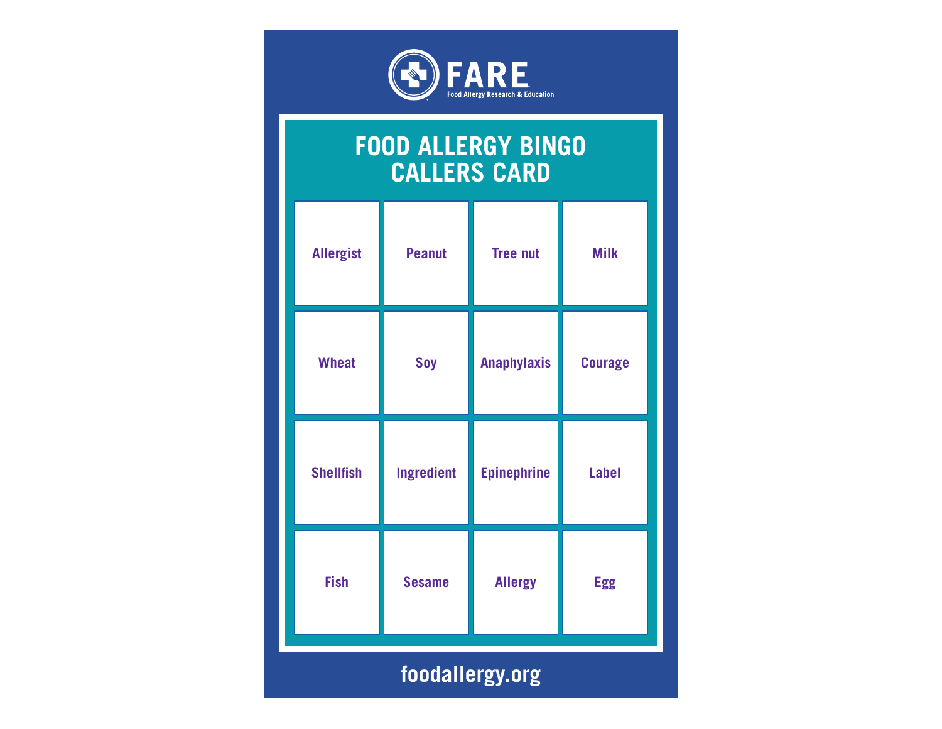

#### **FOOD ALLERGY BINGO CALLERS CARD**

| <b>Allergist</b> | <b>Peanut</b>     | <b>Tree nut</b>    | <b>Milk</b>    |  |
|------------------|-------------------|--------------------|----------------|--|
| <b>Wheat</b>     | Soy               | <b>Anaphylaxis</b> | <b>Courage</b> |  |
| <b>Shellfish</b> | <b>Ingredient</b> | <b>Epinephrine</b> | <b>Label</b>   |  |
| <b>Fish</b>      | <b>Sesame</b>     | <b>Allergy</b>     | <b>Egg</b>     |  |
|                  | foodallergy.org   |                    |                |  |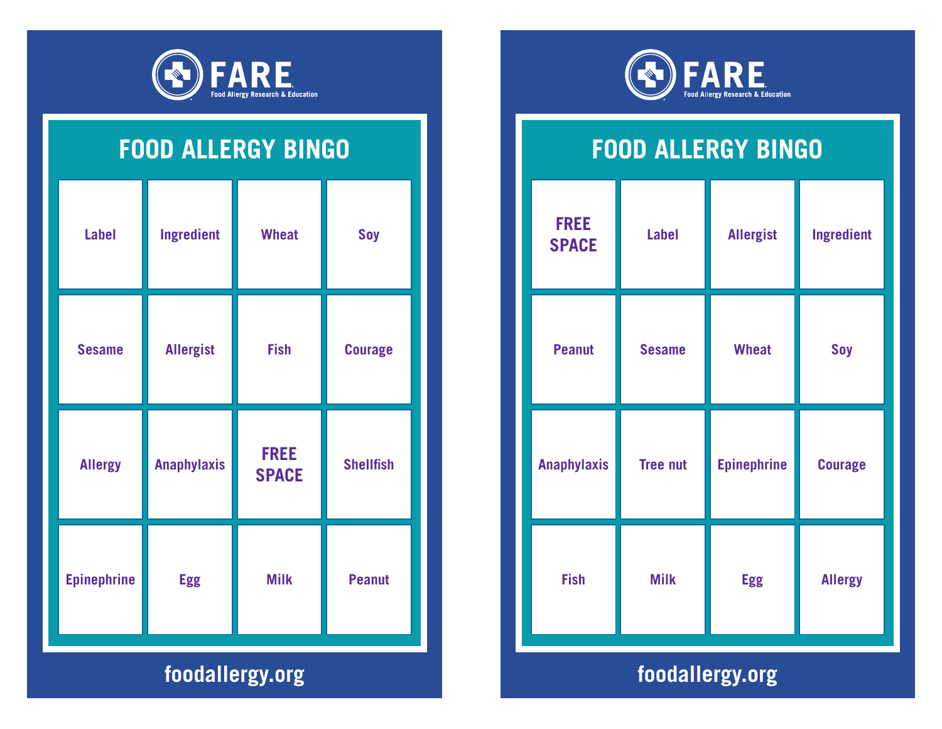

| <b>Label</b>       | Ingredient         | <b>Wheat</b>                | <b>Soy</b>       |  |
|--------------------|--------------------|-----------------------------|------------------|--|
| <b>Sesame</b>      | <b>Allergist</b>   | <b>Fish</b>                 | <b>Courage</b>   |  |
| <b>Allergy</b>     | <b>Anaphylaxis</b> | <b>FREE</b><br><b>SPACE</b> | <b>Shellfish</b> |  |
| <b>Epinephrine</b> | <b>Egg</b>         | <b>Milk</b>                 | <b>Peanut</b>    |  |
|                    | foodallergy.org    |                             |                  |  |



#### **FOOD ALLERGY BINGO**

| <b>FREE</b><br><b>SPACE</b> | <b>Label</b>    | <b>Allergist</b>   | Ingredient     |  |
|-----------------------------|-----------------|--------------------|----------------|--|
| <b>Peanut</b>               | <b>Sesame</b>   | <b>Wheat</b>       | Soy            |  |
| <b>Anaphylaxis</b>          | <b>Tree nut</b> | <b>Epinephrine</b> | <b>Courage</b> |  |
| <b>Fish</b>                 | <b>Milk</b>     | <b>Egg</b>         | <b>Allergy</b> |  |
|                             | foodallergy.org |                    |                |  |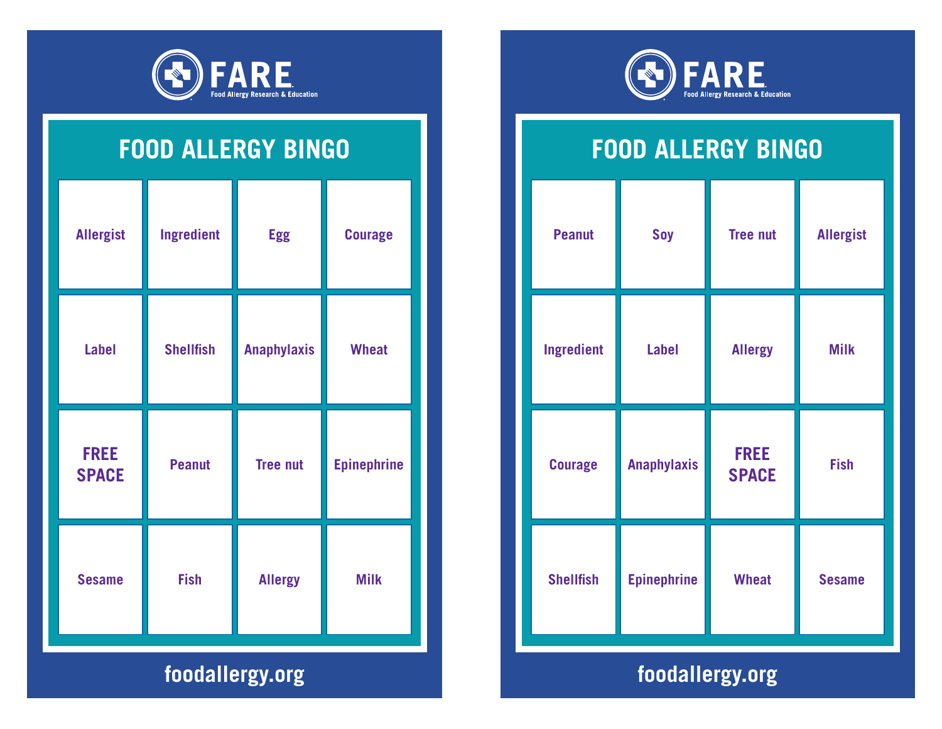

| <b>Allergist</b>            | <b>Ingredient</b> | <b>Egg</b>         | <b>Courage</b>     |  |  |
|-----------------------------|-------------------|--------------------|--------------------|--|--|
| <b>Label</b>                | <b>Shellfish</b>  | <b>Anaphylaxis</b> | <b>Wheat</b>       |  |  |
| <b>FREE</b><br><b>SPACE</b> | <b>Peanut</b>     | <b>Tree nut</b>    | <b>Epinephrine</b> |  |  |
| <b>Sesame</b>               | <b>Fish</b>       | <b>Allergy</b>     | <b>Milk</b>        |  |  |
|                             | foodallergy.org   |                    |                    |  |  |



#### **FOOD ALLERGY BINGO**

|                  |                    | <b>Tree nut</b>             | <b>Allergist</b> |
|------------------|--------------------|-----------------------------|------------------|
| Ingredient       | <b>Label</b>       | <b>Allergy</b>              | <b>Milk</b>      |
| <b>Courage</b>   | <b>Anaphylaxis</b> | <b>FREE</b><br><b>SPACE</b> | <b>Fish</b>      |
| <b>Shellfish</b> | <b>Epinephrine</b> | <b>Wheat</b>                | <b>Sesame</b>    |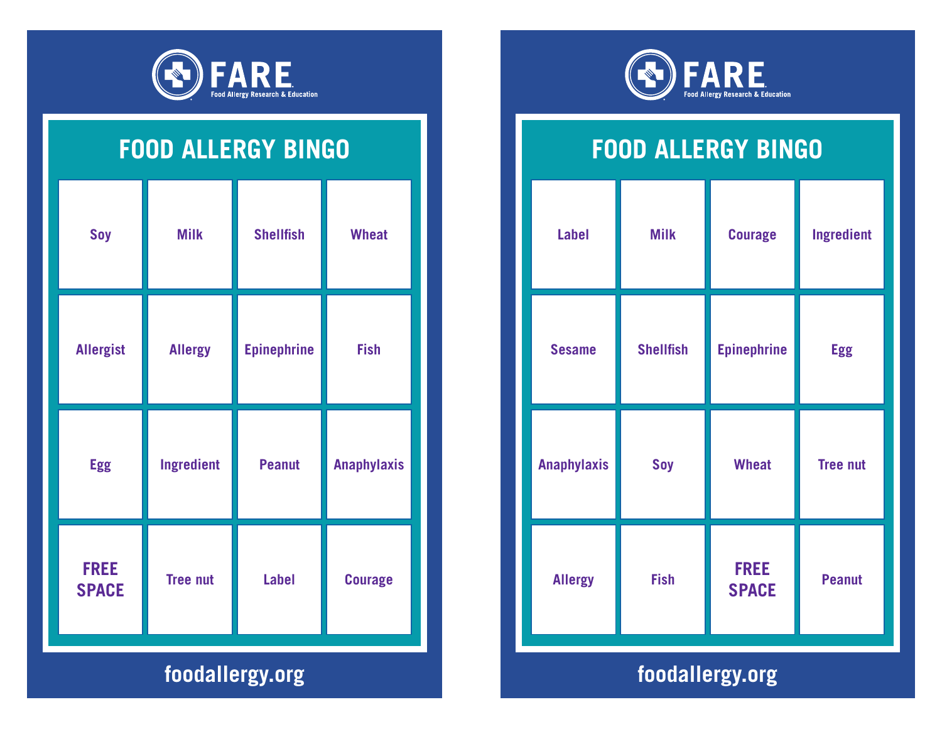

| <b>Soy</b>                  | <b>Milk</b>     | <b>Shellfish</b>   | <b>Wheat</b>       |
|-----------------------------|-----------------|--------------------|--------------------|
| <b>Allergist</b>            | <b>Allergy</b>  | <b>Epinephrine</b> | <b>Fish</b>        |
| <b>Egg</b>                  | Ingredient      | <b>Peanut</b>      | <b>Anaphylaxis</b> |
| <b>FREE</b><br><b>SPACE</b> | <b>Tree nut</b> | <b>Label</b>       | <b>Courage</b>     |
| foodallergy.org             |                 |                    |                    |



# **FOOD ALLERGY BINGO**

| <b>Label</b>       | <b>Milk</b>      | <b>Courage</b>              | Ingredient      |
|--------------------|------------------|-----------------------------|-----------------|
| <b>Sesame</b>      | <b>Shellfish</b> | <b>Epinephrine</b>          | <b>Egg</b>      |
| <b>Anaphylaxis</b> | Soy              | <b>Wheat</b>                | <b>Tree nut</b> |
| <b>Allergy</b>     | <b>Fish</b>      | <b>FREE</b><br><b>SPACE</b> | <b>Peanut</b>   |
|                    |                  | foodallergy.org             |                 |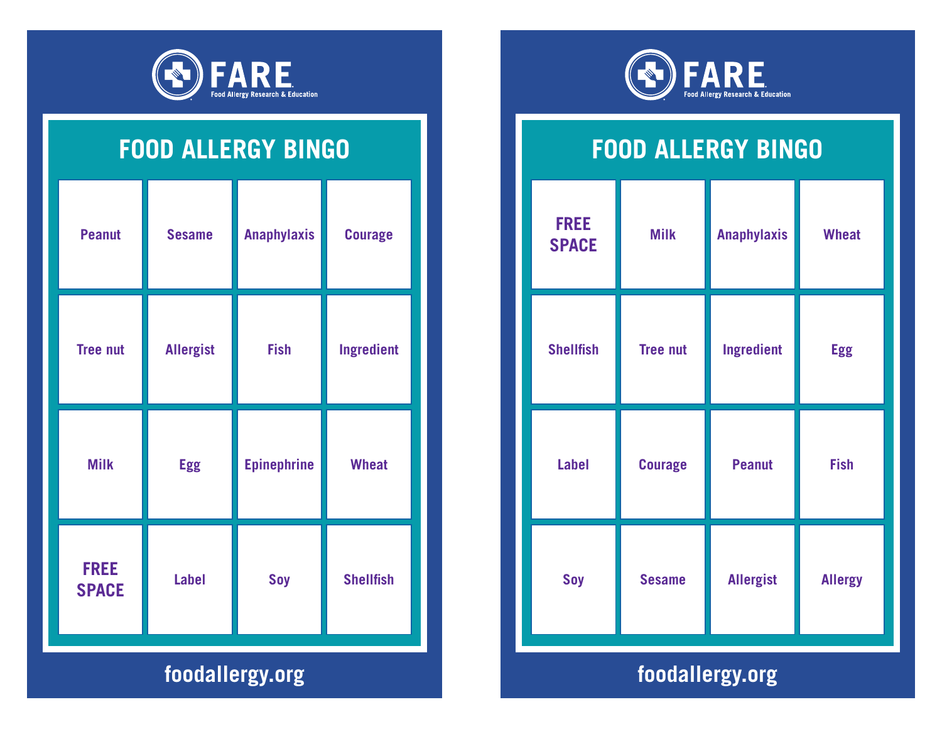

| <b>Peanut</b>               | <b>Sesame</b>    | <b>Anaphylaxis</b> | <b>Courage</b>   |  |
|-----------------------------|------------------|--------------------|------------------|--|
| <b>Tree nut</b>             | <b>Allergist</b> | <b>Fish</b>        | Ingredient       |  |
| <b>Milk</b>                 | <b>Egg</b>       | <b>Epinephrine</b> | <b>Wheat</b>     |  |
| <b>FREE</b><br><b>SPACE</b> | <b>Label</b>     | Soy                | <b>Shellfish</b> |  |
|                             | foodallergy.org  |                    |                  |  |



## **FOOD ALLERGY BINGO**

| <b>Milk</b>     | <b>Anaphylaxis</b> | <b>Wheat</b>   |
|-----------------|--------------------|----------------|
| <b>Tree nut</b> | Ingredient         | <b>Egg</b>     |
| <b>Courage</b>  | <b>Peanut</b>      | <b>Fish</b>    |
| <b>Sesame</b>   | <b>Allergist</b>   | <b>Allergy</b> |
|                 |                    |                |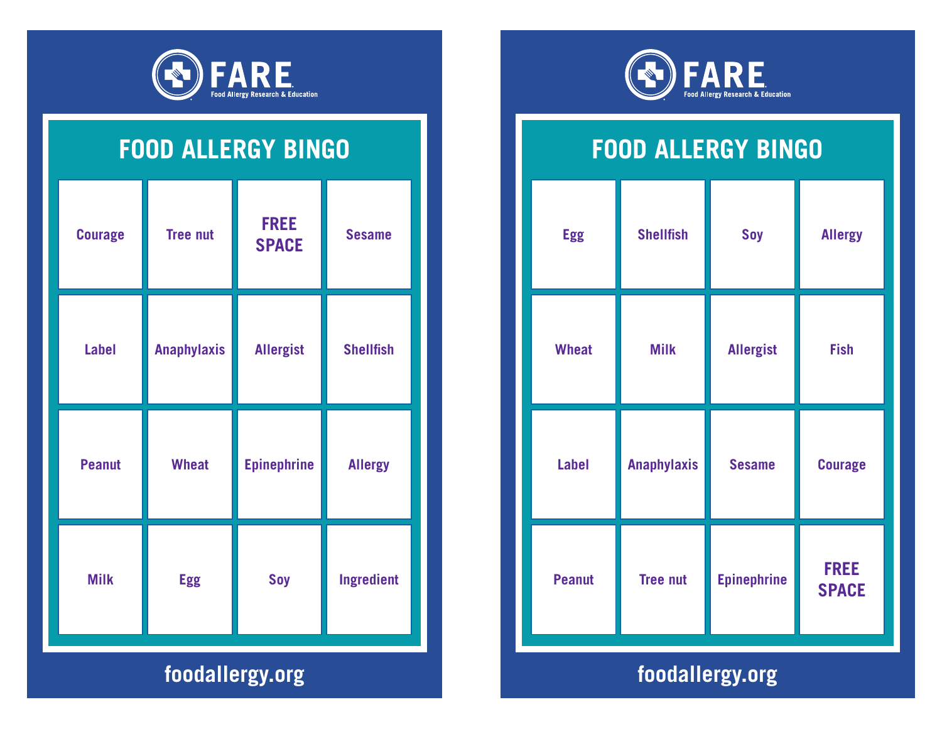

| <b>Courage</b> | <b>Tree nut</b>    | <b>FREE</b><br><b>SPACE</b> | <b>Sesame</b>     |  |  |
|----------------|--------------------|-----------------------------|-------------------|--|--|
| <b>Label</b>   | <b>Anaphylaxis</b> | <b>Allergist</b>            | <b>Shellfish</b>  |  |  |
| <b>Peanut</b>  | <b>Wheat</b>       | <b>Epinephrine</b>          | <b>Allergy</b>    |  |  |
| <b>Milk</b>    | <b>Egg</b>         | <b>Soy</b>                  | <b>Ingredient</b> |  |  |
|                | foodallergy.org    |                             |                   |  |  |



# **FOOD ALLERGY BINGO**

| <b>Egg</b>    | <b>Shellfish</b>   | Soy                | <b>Allergy</b>              |
|---------------|--------------------|--------------------|-----------------------------|
| <b>Wheat</b>  | <b>Milk</b>        | <b>Allergist</b>   | <b>Fish</b>                 |
| <b>Label</b>  | <b>Anaphylaxis</b> | <b>Sesame</b>      | <b>Courage</b>              |
| <b>Peanut</b> | <b>Tree nut</b>    | <b>Epinephrine</b> | <b>FREE</b><br><b>SPACE</b> |
|               |                    |                    |                             |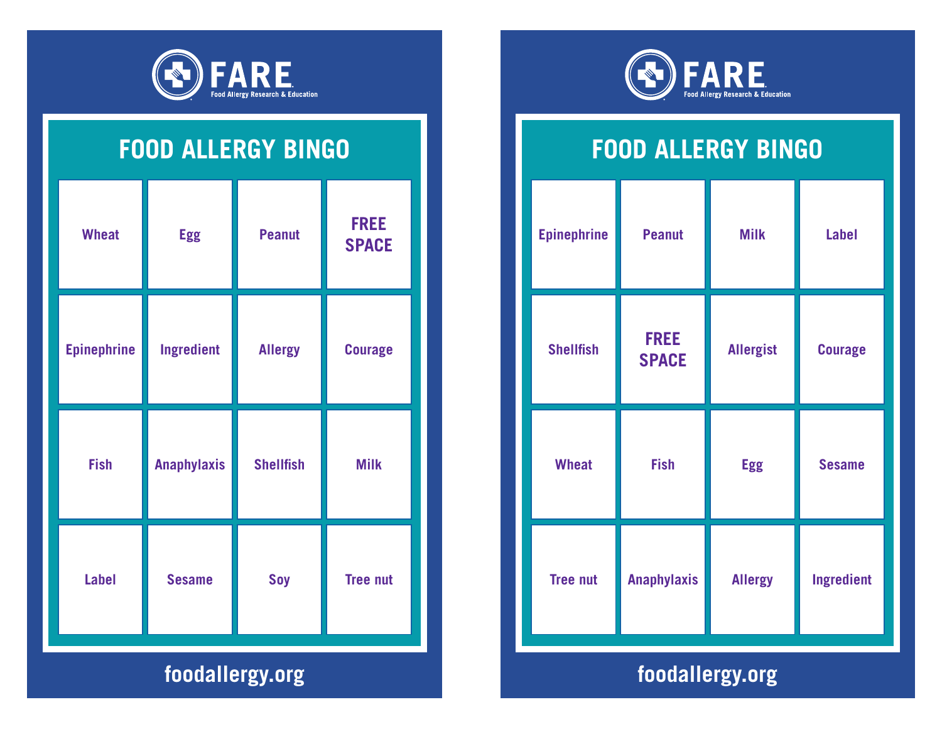

| <b>Fish</b>        | <b>Anaphylaxis</b> | <b>Shellfish</b> | <b>Milk</b>                 |
|--------------------|--------------------|------------------|-----------------------------|
| <b>Epinephrine</b> | <b>Ingredient</b>  | <b>Allergy</b>   | <b>Courage</b>              |
| <b>Wheat</b>       | <b>Egg</b>         | <b>Peanut</b>    | <b>FREE</b><br><b>SPACE</b> |



# **FOOD ALLERGY BINGO**

| <b>Epinephrine</b> | <b>Peanut</b>               | <b>Milk</b>      | <b>Label</b>   |  |  |
|--------------------|-----------------------------|------------------|----------------|--|--|
| <b>Shellfish</b>   | <b>FREE</b><br><b>SPACE</b> | <b>Allergist</b> | <b>Courage</b> |  |  |
| <b>Wheat</b>       | <b>Fish</b>                 | <b>Egg</b>       | <b>Sesame</b>  |  |  |
| <b>Tree nut</b>    | <b>Anaphylaxis</b>          | <b>Allergy</b>   | Ingredient     |  |  |
|                    |                             |                  |                |  |  |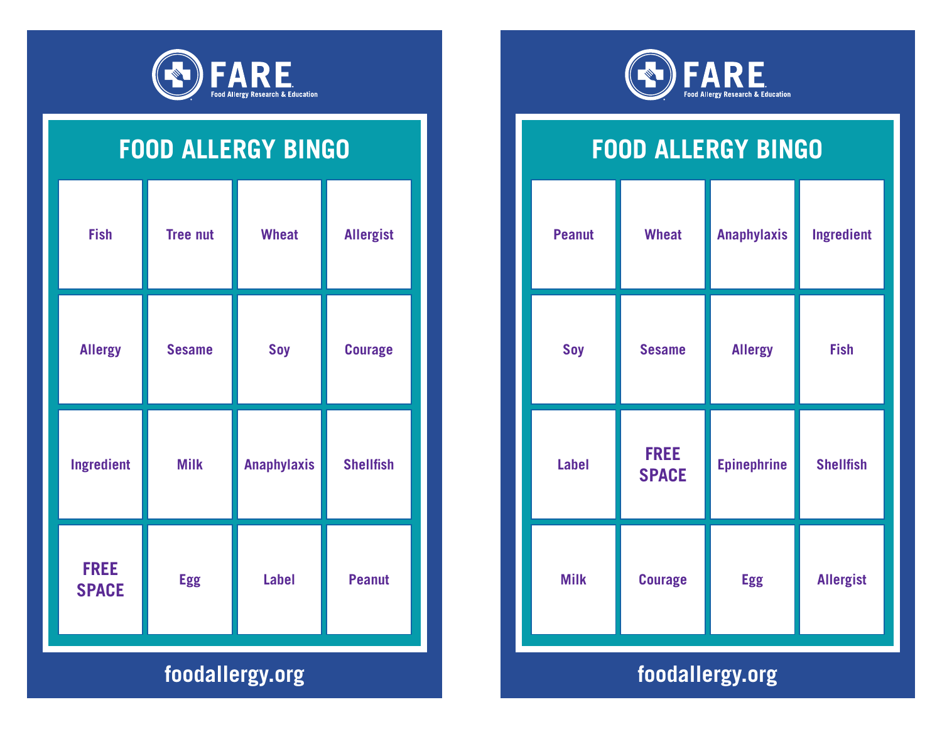

| <b>Fish</b>                 | <b>Tree nut</b> | <b>Wheat</b>       | <b>Allergist</b> |
|-----------------------------|-----------------|--------------------|------------------|
| <b>Allergy</b>              | <b>Sesame</b>   | <b>Soy</b>         | <b>Courage</b>   |
| Ingredient                  | <b>Milk</b>     | <b>Anaphylaxis</b> | <b>Shellfish</b> |
| <b>FREE</b><br><b>SPACE</b> | <b>Egg</b>      | <b>Label</b>       | <b>Peanut</b>    |
| foodallergy.org             |                 |                    |                  |



# **FOOD ALLERGY BINGO**

| <b>Peanut</b>                                                                                          | <b>Wheat</b>                | <b>Anaphylaxis</b> | Ingredient       |
|--------------------------------------------------------------------------------------------------------|-----------------------------|--------------------|------------------|
| Soy                                                                                                    | <b>Sesame</b>               | <b>Allergy</b>     | <b>Fish</b>      |
| <b>Label</b>                                                                                           | <b>FREE</b><br><b>SPACE</b> | <b>Epinephrine</b> | <b>Shellfish</b> |
| <b>Milk</b>                                                                                            | <b>Courage</b>              | <b>Egg</b>         | <b>Allergist</b> |
| $\mathbf{f} = \mathbf{f} \cdot \mathbf{f} + \mathbf{f} \cdot \mathbf{f} + \mathbf{f} \cdot \mathbf{f}$ |                             |                    |                  |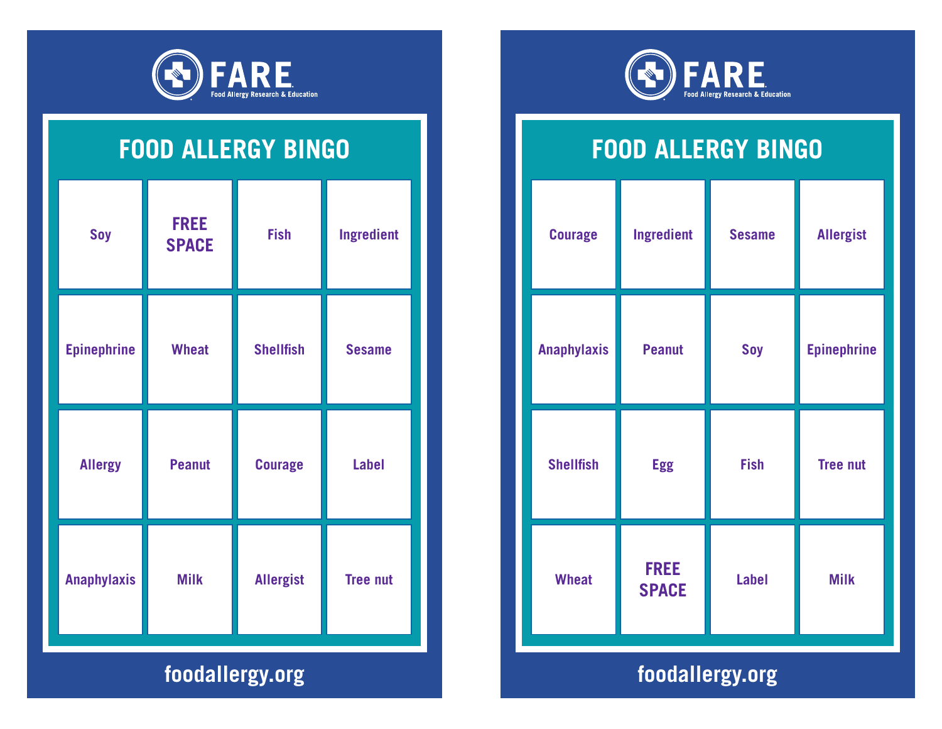

| <b>Soy</b>         | <b>FREE</b><br><b>SPACE</b> | <b>Fish</b>      | <b>Ingredient</b> |
|--------------------|-----------------------------|------------------|-------------------|
| <b>Epinephrine</b> | <b>Wheat</b>                | <b>Shellfish</b> | <b>Sesame</b>     |
| <b>Allergy</b>     | <b>Peanut</b>               | <b>Courage</b>   | <b>Label</b>      |
| <b>Anaphylaxis</b> | <b>Milk</b>                 | <b>Allergist</b> | <b>Tree nut</b>   |
| foodallergy.org    |                             |                  |                   |



# **FOOD ALLERGY BINGO**

| <b>Courage</b>     | <b>Ingredient</b>           | <b>Sesame</b> | <b>Allergist</b>   |
|--------------------|-----------------------------|---------------|--------------------|
| <b>Anaphylaxis</b> | <b>Peanut</b>               | Soy           | <b>Epinephrine</b> |
| <b>Shellfish</b>   | <b>Egg</b>                  | <b>Fish</b>   | <b>Tree nut</b>    |
| <b>Wheat</b>       | <b>FREE</b><br><b>SPACE</b> | <b>Label</b>  | <b>Milk</b>        |
| .                  |                             |               |                    |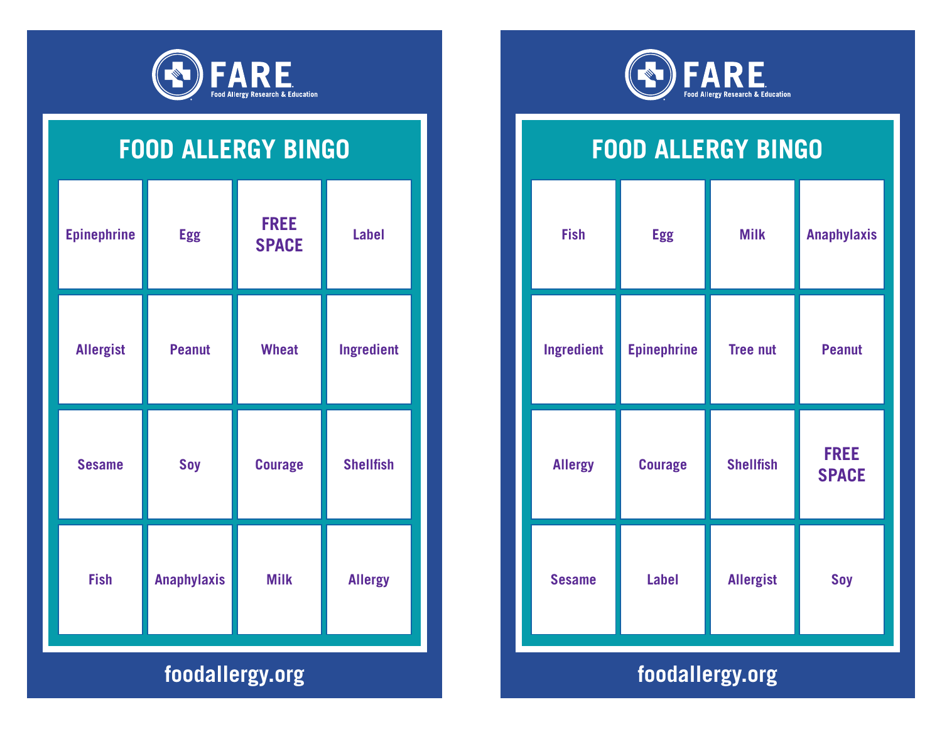

| <b>Epinephrine</b> | <b>Egg</b>         | <b>FREE</b><br><b>SPACE</b> | <b>Label</b>     |
|--------------------|--------------------|-----------------------------|------------------|
| <b>Allergist</b>   | <b>Peanut</b>      | <b>Wheat</b>                | Ingredient       |
| <b>Sesame</b>      | Soy                | <b>Courage</b>              | <b>Shellfish</b> |
| <b>Fish</b>        | <b>Anaphylaxis</b> | <b>Milk</b>                 | <b>Allergy</b>   |
| foodallergy.org    |                    |                             |                  |



# **FOOD ALLERGY BINGO**

| <b>Fish</b>    | <b>Egg</b>                           | <b>Milk</b>      | <b>Anaphylaxis</b>          |
|----------------|--------------------------------------|------------------|-----------------------------|
| Ingredient     | <b>Epinephrine</b>                   | <b>Tree nut</b>  | <b>Peanut</b>               |
| <b>Allergy</b> | <b>Courage</b>                       | <b>Shellfish</b> | <b>FREE</b><br><b>SPACE</b> |
| <b>Sesame</b>  | <b>Label</b>                         | <b>Allergist</b> | Soy                         |
|                | <b>C</b> and a state of the state of |                  |                             |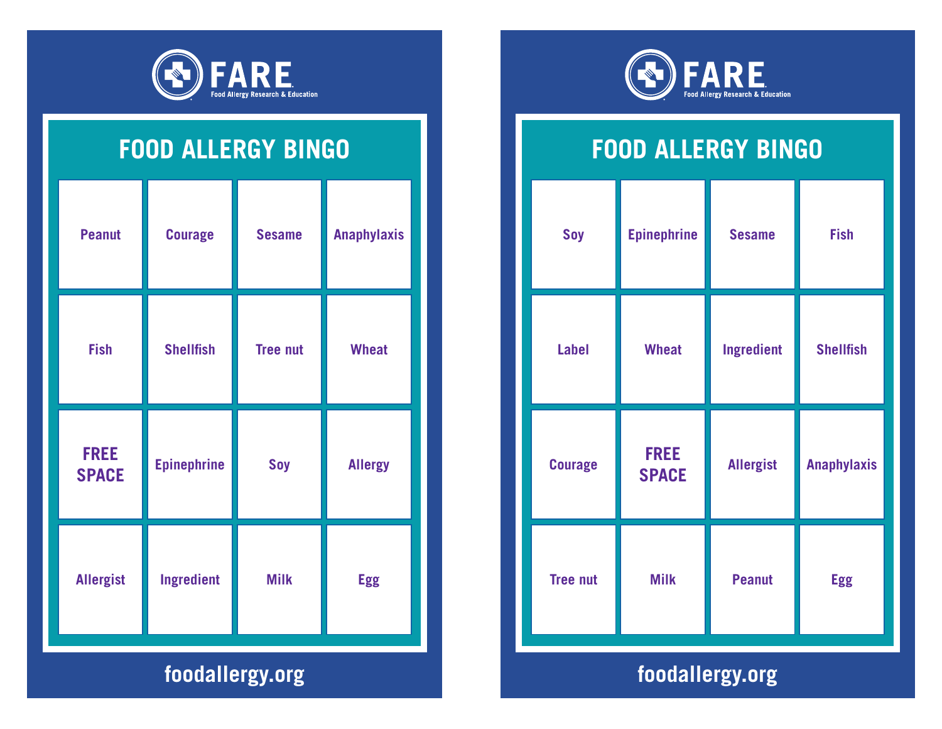

| <b>Peanut</b>               | <b>Courage</b>     | <b>Sesame</b>   | <b>Anaphylaxis</b> |
|-----------------------------|--------------------|-----------------|--------------------|
| <b>Fish</b>                 | <b>Shellfish</b>   | <b>Tree nut</b> | <b>Wheat</b>       |
| <b>FREE</b><br><b>SPACE</b> | <b>Epinephrine</b> | Soy             | <b>Allergy</b>     |
| <b>Allergist</b>            | <b>Ingredient</b>  | <b>Milk</b>     | <b>Egg</b>         |
| foodallergy.org             |                    |                 |                    |



## **FOOD ALLERGY BINGO**

| Soy             | <b>Epinephrine</b>          | <b>Sesame</b>    | <b>Fish</b>        |  |
|-----------------|-----------------------------|------------------|--------------------|--|
| <b>Label</b>    | <b>Wheat</b>                | Ingredient       | <b>Shellfish</b>   |  |
| <b>Courage</b>  | <b>FREE</b><br><b>SPACE</b> | <b>Allergist</b> | <b>Anaphylaxis</b> |  |
| <b>Tree nut</b> | <b>Milk</b>                 | <b>Peanut</b>    | <b>Egg</b>         |  |
|                 |                             |                  |                    |  |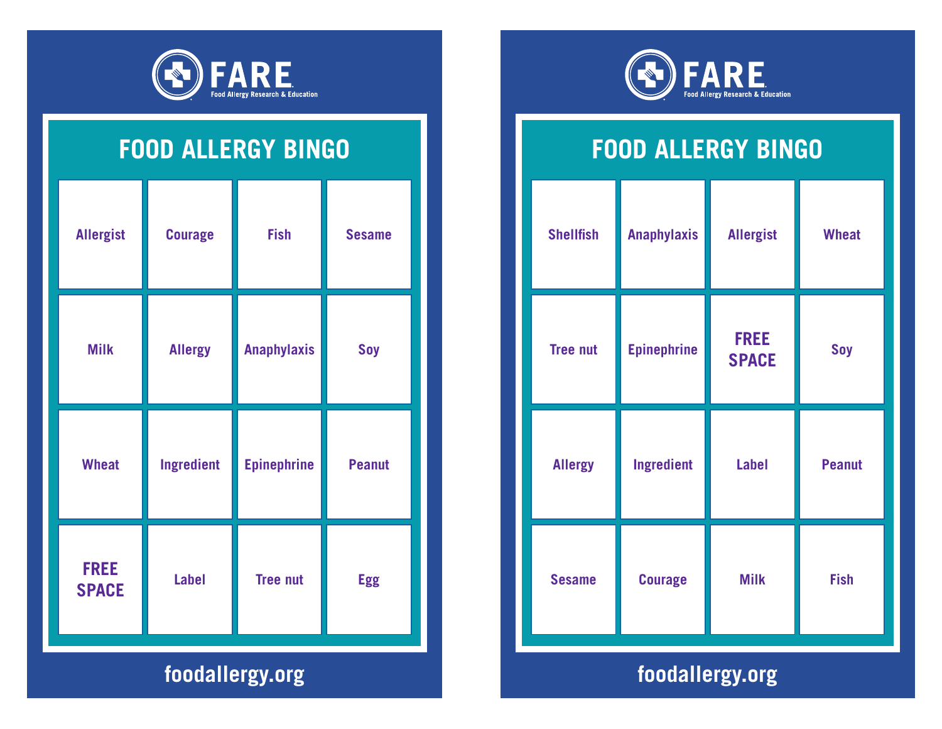

| <b>Allergist</b>            | <b>Courage</b>    | <b>Fish</b>        | <b>Sesame</b> |
|-----------------------------|-------------------|--------------------|---------------|
| <b>Milk</b>                 | <b>Allergy</b>    | <b>Anaphylaxis</b> | Soy           |
| <b>Wheat</b>                | <b>Ingredient</b> | <b>Epinephrine</b> | <b>Peanut</b> |
| <b>FREE</b><br><b>SPACE</b> | <b>Label</b>      | <b>Tree nut</b>    | <b>Egg</b>    |
| foodallergy.org             |                   |                    |               |



# **FOOD ALLERGY BINGO**

| <b>Shellfish</b> | <b>Anaphylaxis</b> | <b>Allergist</b>            | <b>Wheat</b>  |  |
|------------------|--------------------|-----------------------------|---------------|--|
| <b>Tree nut</b>  | <b>Epinephrine</b> | <b>FREE</b><br><b>SPACE</b> | Soy           |  |
| <b>Allergy</b>   | Ingredient         | <b>Label</b>                | <b>Peanut</b> |  |
| <b>Sesame</b>    | <b>Courage</b>     | <b>Milk</b>                 | <b>Fish</b>   |  |
|                  |                    |                             |               |  |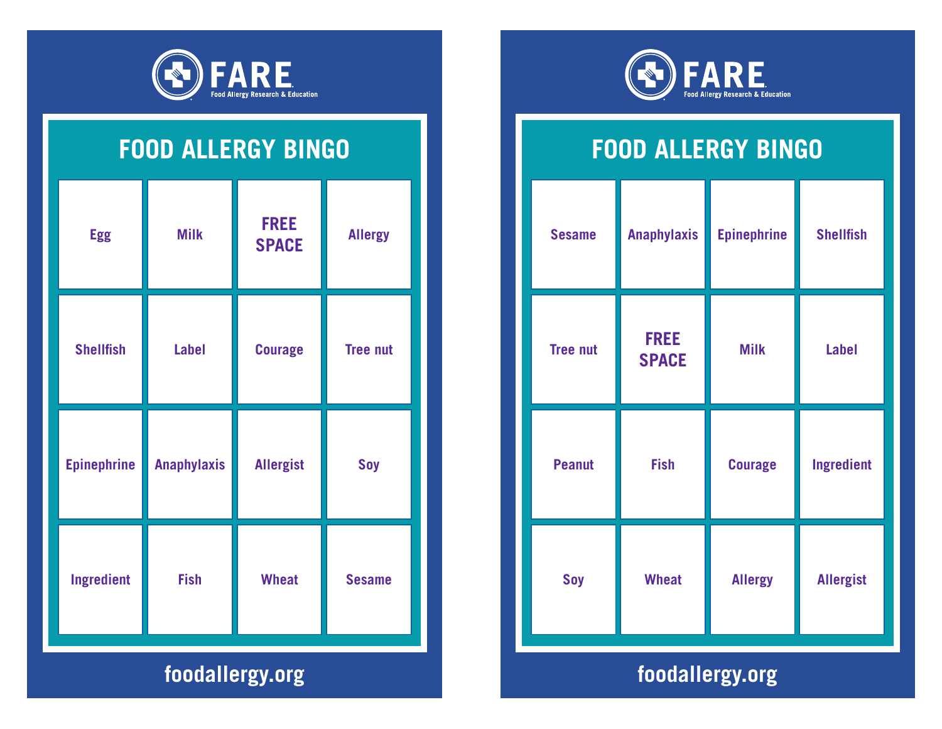

| <b>Egg</b>         | <b>Milk</b>        | <b>FREE</b><br><b>SPACE</b> | <b>Allergy</b>  |
|--------------------|--------------------|-----------------------------|-----------------|
| <b>Shellfish</b>   | <b>Label</b>       | <b>Courage</b>              | <b>Tree nut</b> |
| <b>Epinephrine</b> | <b>Anaphylaxis</b> | <b>Allergist</b>            | Soy             |
| <b>Ingredient</b>  | <b>Fish</b>        | <b>Wheat</b>                | <b>Sesame</b>   |
| foodallergy.org    |                    |                             |                 |



# **FOOD ALLERGY BINGO**

| <b>Sesame</b>                      | <b>Anaphylaxis</b>          | <b>Epinephrine</b> | <b>Shellfish</b>  |
|------------------------------------|-----------------------------|--------------------|-------------------|
| <b>Tree nut</b>                    | <b>FREE</b><br><b>SPACE</b> | <b>Milk</b>        | <b>Label</b>      |
| <b>Peanut</b>                      | <b>Fish</b>                 | <b>Courage</b>     | <b>Ingredient</b> |
| Soy                                | <b>Wheat</b>                | <b>Allergy</b>     | <b>Allergist</b>  |
| <b>A</b> dealer the Miller and the |                             |                    |                   |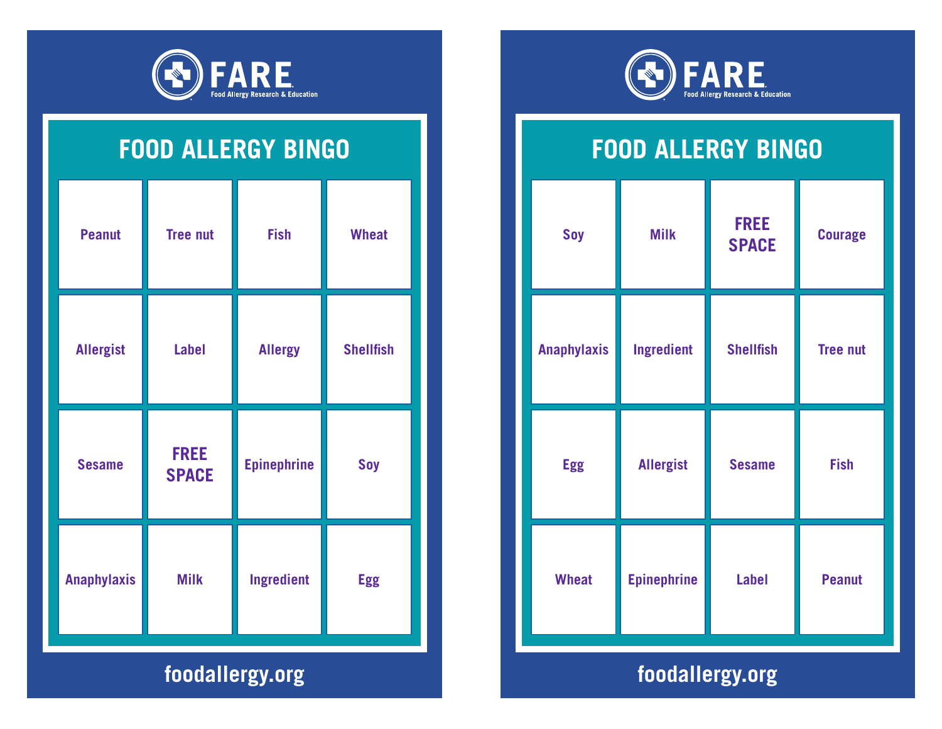

| <b>Peanut</b>      | <b>Tree nut</b>             | <b>Fish</b>        | <b>Wheat</b>     |
|--------------------|-----------------------------|--------------------|------------------|
| <b>Allergist</b>   | <b>Label</b>                | <b>Allergy</b>     | <b>Shellfish</b> |
| <b>Sesame</b>      | <b>FREE</b><br><b>SPACE</b> | <b>Epinephrine</b> | <b>Soy</b>       |
| <b>Anaphylaxis</b> | <b>Milk</b>                 | Ingredient         | <b>Egg</b>       |
| foodallergy.org    |                             |                    |                  |



#### **FOOD ALLERGY BINGO**

| Ingredient<br><b>Shellfish</b><br><b>Anaphylaxis</b><br><b>Allergist</b><br><b>Egg</b><br><b>Sesame</b> | <b>Courage</b>  | <b>FREE</b><br><b>SPACE</b> | <b>Milk</b> | Soy |
|---------------------------------------------------------------------------------------------------------|-----------------|-----------------------------|-------------|-----|
|                                                                                                         | <b>Tree nut</b> |                             |             |     |
|                                                                                                         | <b>Fish</b>     |                             |             |     |
| <b>Epinephrine</b><br><b>Label</b><br><b>Wheat</b>                                                      | <b>Peanut</b>   |                             |             |     |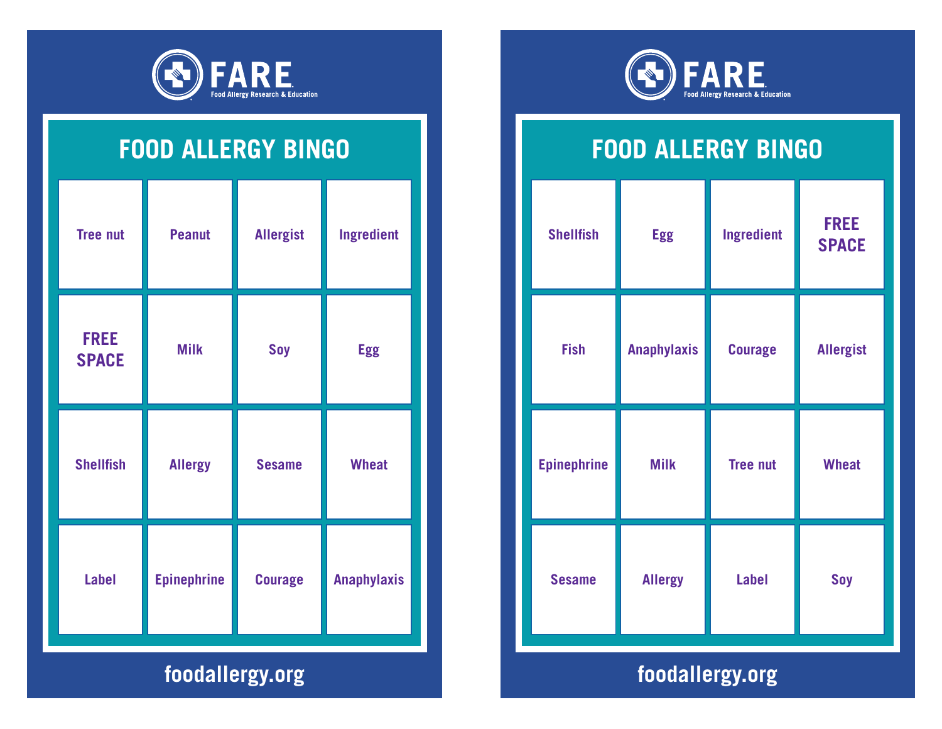

| <b>Tree nut</b>             | <b>Peanut</b>      | <b>Allergist</b> | <b>Ingredient</b>  |
|-----------------------------|--------------------|------------------|--------------------|
| <b>FREE</b><br><b>SPACE</b> | <b>Milk</b>        | <b>Soy</b>       | <b>Egg</b>         |
| <b>Shellfish</b>            | <b>Allergy</b>     | <b>Sesame</b>    | <b>Wheat</b>       |
| <b>Label</b>                | <b>Epinephrine</b> | <b>Courage</b>   | <b>Anaphylaxis</b> |
| foodallergy.org             |                    |                  |                    |



#### **FOOD ALLERGY BINGO**

| <b>Shellfish</b>   | <b>Egg</b>         | Ingredient      | <b>FREE</b><br><b>SPACE</b> |
|--------------------|--------------------|-----------------|-----------------------------|
| <b>Fish</b>        | <b>Anaphylaxis</b> | <b>Courage</b>  | <b>Allergist</b>            |
| <b>Epinephrine</b> | <b>Milk</b>        | <b>Tree nut</b> | <b>Wheat</b>                |
| <b>Sesame</b>      | <b>Allergy</b>     | <b>Label</b>    | Soy                         |